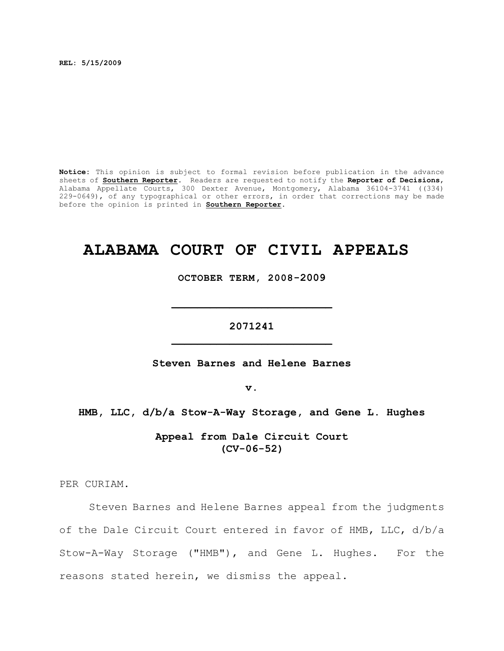**REL: 5/15/2009**

**Notice:** This opinion is subject to formal revision before publication in the advance sheets of **Southern Reporter**. Readers are requested to notify the **Reporter of Decisions**, Alabama Appellate Courts, 300 Dexter Avenue, Montgomery, Alabama 36104-3741 ((334) 229-0649), of any typographical or other errors, in order that corrections may be made before the opinion is printed in **Southern Reporter**.

# **ALABAMA COURT OF CIVIL APPEALS**

**OCTOBER TERM, 2008-2009**

**\_\_\_\_\_\_\_\_\_\_\_\_\_\_\_\_\_\_\_\_\_\_\_\_\_**

**2071241 \_\_\_\_\_\_\_\_\_\_\_\_\_\_\_\_\_\_\_\_\_\_\_\_\_**

**Steven Barnes and Helene Barnes**

**v.**

**HMB, LLC, d/b/a Stow-A-Way Storage, and Gene L. Hughes**

**Appeal from Dale Circuit Court (CV-06-52)**

PER CURIAM.

Steven Barnes and Helene Barnes appeal from the judgments of the Dale Circuit Court entered in favor of HMB, LLC, d/b/a Stow-A-Way Storage ("HMB"), and Gene L. Hughes. For the reasons stated herein, we dismiss the appeal.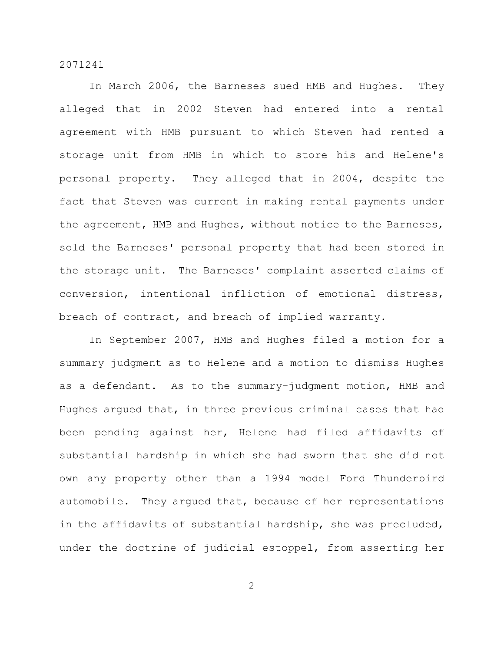In March 2006, the Barneses sued HMB and Hughes. They alleged that in 2002 Steven had entered into a rental agreement with HMB pursuant to which Steven had rented a storage unit from HMB in which to store his and Helene's personal property. They alleged that in 2004, despite the fact that Steven was current in making rental payments under the agreement, HMB and Hughes, without notice to the Barneses, sold the Barneses' personal property that had been stored in the storage unit. The Barneses' complaint asserted claims of conversion, intentional infliction of emotional distress, breach of contract, and breach of implied warranty.

In September 2007, HMB and Hughes filed a motion for a summary judgment as to Helene and a motion to dismiss Hughes as a defendant. As to the summary-judgment motion, HMB and Hughes argued that, in three previous criminal cases that had been pending against her, Helene had filed affidavits of substantial hardship in which she had sworn that she did not own any property other than a 1994 model Ford Thunderbird automobile. They argued that, because of her representations in the affidavits of substantial hardship, she was precluded, under the doctrine of judicial estoppel, from asserting her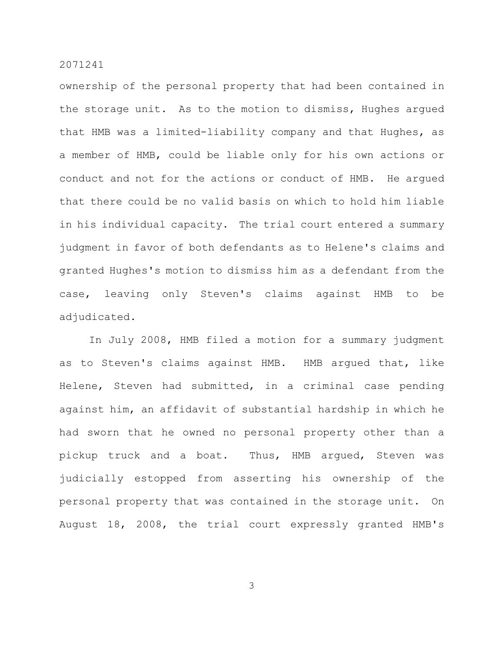ownership of the personal property that had been contained in the storage unit. As to the motion to dismiss, Hughes argued that HMB was a limited-liability company and that Hughes, as a member of HMB, could be liable only for his own actions or conduct and not for the actions or conduct of HMB. He argued that there could be no valid basis on which to hold him liable in his individual capacity. The trial court entered a summary judgment in favor of both defendants as to Helene's claims and granted Hughes's motion to dismiss him as a defendant from the case, leaving only Steven's claims against HMB to be adjudicated.

In July 2008, HMB filed a motion for a summary judgment as to Steven's claims against HMB. HMB argued that, like Helene, Steven had submitted, in a criminal case pending against him, an affidavit of substantial hardship in which he had sworn that he owned no personal property other than a pickup truck and a boat. Thus, HMB argued, Steven was judicially estopped from asserting his ownership of the personal property that was contained in the storage unit. On August 18, 2008, the trial court expressly granted HMB's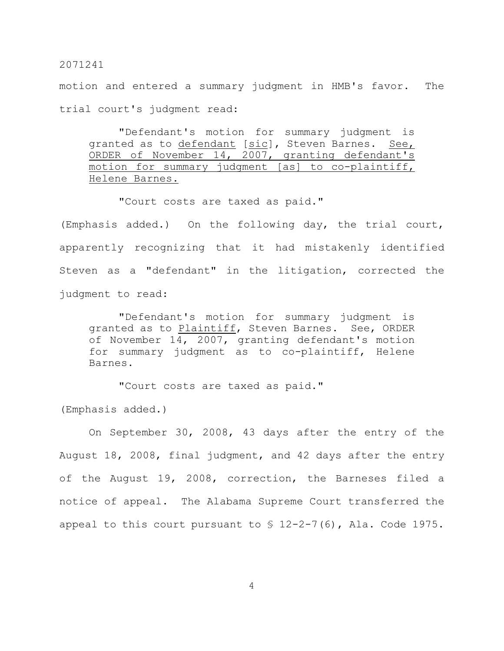motion and entered a summary judgment in HMB's favor. The trial court's judgment read:

"Defendant's motion for summary judgment is granted as to defendant [sic], Steven Barnes. See, ORDER of November 14, 2007, granting defendant's motion for summary judgment [as] to co-plaintiff, Helene Barnes.

"Court costs are taxed as paid."

(Emphasis added.) On the following day, the trial court, apparently recognizing that it had mistakenly identified Steven as a "defendant" in the litigation, corrected the judgment to read:

"Defendant's motion for summary judgment is granted as to Plaintiff, Steven Barnes. See, ORDER of November 14, 2007, granting defendant's motion for summary judgment as to co-plaintiff, Helene Barnes.

"Court costs are taxed as paid."

(Emphasis added.)

On September 30, 2008, 43 days after the entry of the August 18, 2008, final judgment, and 42 days after the entry of the August 19, 2008, correction, the Barneses filed a notice of appeal. The Alabama Supreme Court transferred the appeal to this court pursuant to  $$ 12-2-7(6)$ , Ala. Code 1975.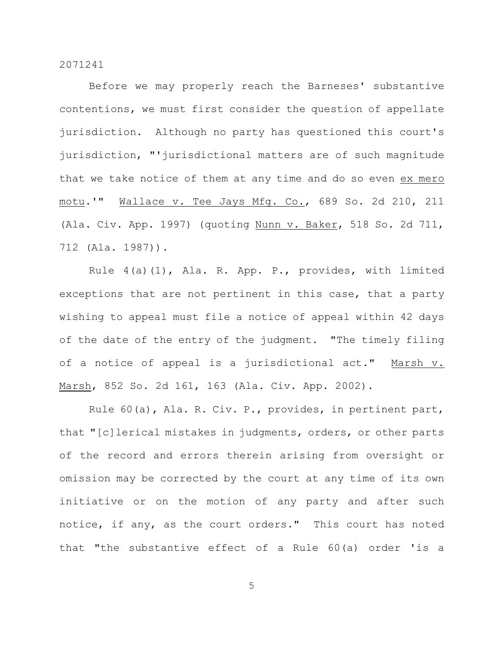Before we may properly reach the Barneses' substantive contentions, we must first consider the question of appellate jurisdiction. Although no party has questioned this court's jurisdiction, "'jurisdictional matters are of such magnitude that we take notice of them at any time and do so even ex mero motu.'" Wallace v. Tee Jays Mfg. Co., 689 So. 2d 210, 211 (Ala. Civ. App. 1997) (quoting Nunn v. Baker, 518 So. 2d 711, 712 (Ala. 1987)).

Rule 4(a)(1), Ala. R. App. P., provides, with limited exceptions that are not pertinent in this case, that a party wishing to appeal must file a notice of appeal within 42 days of the date of the entry of the judgment. "The timely filing of a notice of appeal is a jurisdictional act." Marsh v. Marsh, 852 So. 2d 161, 163 (Ala. Civ. App. 2002).

Rule 60(a), Ala. R. Civ. P., provides, in pertinent part, that "[c]lerical mistakes in judgments, orders, or other parts of the record and errors therein arising from oversight or omission may be corrected by the court at any time of its own initiative or on the motion of any party and after such notice, if any, as the court orders." This court has noted that "the substantive effect of a Rule 60(a) order 'is a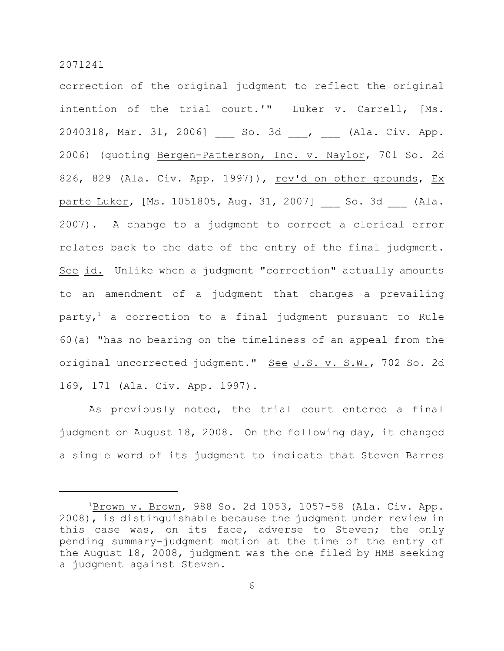correction of the original judgment to reflect the original intention of the trial court.'" Luker v. Carrell, [Ms. 2040318, Mar. 31, 2006] \_\_\_ So. 3d \_\_\_, \_\_\_ (Ala. Civ. App. 2006) (quoting Bergen-Patterson, Inc. v. Naylor, 701 So. 2d 826, 829 (Ala. Civ. App. 1997)), rev'd on other grounds, Ex parte Luker, [Ms. 1051805, Aug. 31, 2007] So. 3d (Ala. 2007). A change to a judgment to correct a clerical error relates back to the date of the entry of the final judgment. See id. Unlike when a judgment "correction" actually amounts to an amendment of a judgment that changes a prevailing party,<sup>1</sup> a correction to a final judgment pursuant to Rule 60(a) "has no bearing on the timeliness of an appeal from the original uncorrected judgment." See J.S. v. S.W., 702 So. 2d 169, 171 (Ala. Civ. App. 1997).

As previously noted, the trial court entered a final judgment on August 18, 2008. On the following day, it changed a single word of its judgment to indicate that Steven Barnes

 $1\overline{\text{Brown V. Brown}}$ , 988 So. 2d 1053, 1057-58 (Ala. Civ. App. 2008), is distinguishable because the judgment under review in this case was, on its face, adverse to Steven; the only pending summary-judgment motion at the time of the entry of the August 18, 2008, judgment was the one filed by HMB seeking a judgment against Steven.